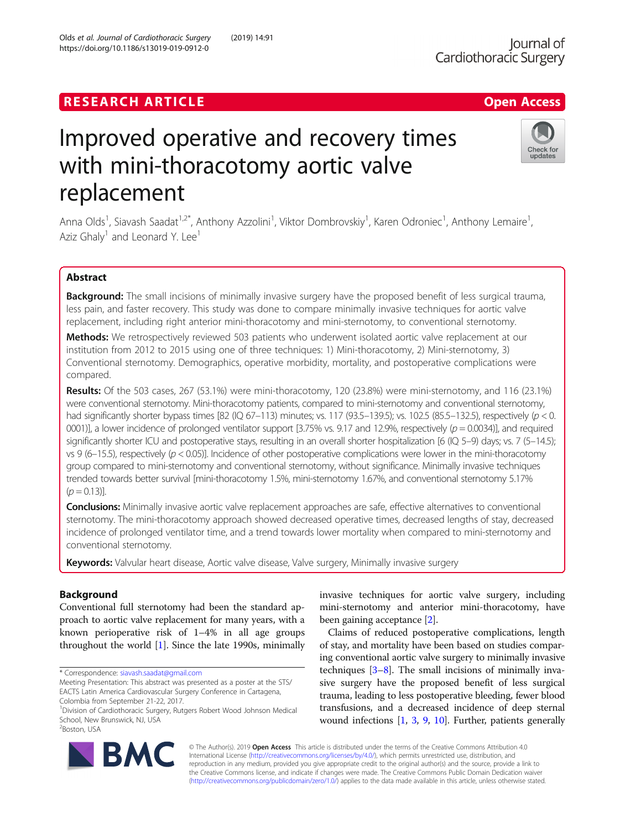# **RESEARCH ARTICLE Example 2018 12:30 The Contract of Contract ACCESS**

# Improved operative and recovery times with mini-thoracotomy aortic valve replacement

Anna Olds<sup>1</sup>, Siavash Saadat<sup>1,2\*</sup>, Anthony Azzolini<sup>1</sup>, Viktor Dombrovskiy<sup>1</sup>, Karen Odroniec<sup>1</sup>, Anthony Lemaire<sup>1</sup> , Aziz Ghaly<sup>1</sup> and Leonard Y. Lee<sup>1</sup>

# Abstract

Background: The small incisions of minimally invasive surgery have the proposed benefit of less surgical trauma, less pain, and faster recovery. This study was done to compare minimally invasive techniques for aortic valve replacement, including right anterior mini-thoracotomy and mini-sternotomy, to conventional sternotomy.

Methods: We retrospectively reviewed 503 patients who underwent isolated aortic valve replacement at our institution from 2012 to 2015 using one of three techniques: 1) Mini-thoracotomy, 2) Mini-sternotomy, 3) Conventional sternotomy. Demographics, operative morbidity, mortality, and postoperative complications were compared.

Results: Of the 503 cases, 267 (53.1%) were mini-thoracotomy, 120 (23.8%) were mini-sternotomy, and 116 (23.1%) were conventional sternotomy. Mini-thoracotomy patients, compared to mini-sternotomy and conventional sternotomy, had significantly shorter bypass times  $[82 \ (Q 67-113)$  minutes; vs. 117  $(93.5-139.5)$ ; vs. 102.5  $(85.5-132.5)$ , respectively  $(p < 0.1)$ 0001)], a lower incidence of prolonged ventilator support [3.75% vs. 9.17 and 12.9%, respectively ( $p = 0.0034$ )], and required significantly shorter ICU and postoperative stays, resulting in an overall shorter hospitalization [6 (IQ 5–9) days; vs. 7 (5–14.5); vs 9 (6–15.5), respectively (p < 0.05)]. Incidence of other postoperative complications were lower in the mini-thoracotomy group compared to mini-sternotomy and conventional sternotomy, without significance. Minimally invasive techniques trended towards better survival [mini-thoracotomy 1.5%, mini-sternotomy 1.67%, and conventional sternotomy 5.17%  $(p = 0.13)$ ].

Conclusions: Minimally invasive aortic valve replacement approaches are safe, effective alternatives to conventional sternotomy. The mini-thoracotomy approach showed decreased operative times, decreased lengths of stay, decreased incidence of prolonged ventilator time, and a trend towards lower mortality when compared to mini-sternotomy and conventional sternotomy.

Keywords: Valvular heart disease, Aortic valve disease, Valve surgery, Minimally invasive surgery

## Background

Conventional full sternotomy had been the standard approach to aortic valve replacement for many years, with a known perioperative risk of 1–4% in all age groups throughout the world [[1](#page-5-0)]. Since the late 1990s, minimally

\* Correspondence: [siavash.saadat@gmail.com](mailto:siavash.saadat@gmail.com)

Meeting Presentation: This abstract was presented as a poster at the STS/ EACTS Latin America Cardiovascular Surgery Conference in Cartagena, Colombia from September 21-22, 2017.

<sup>2</sup>Boston, USA

© The Author(s). 2019 Open Access This article is distributed under the terms of the Creative Commons Attribution 4.0 International License [\(http://creativecommons.org/licenses/by/4.0/](http://creativecommons.org/licenses/by/4.0/)), which permits unrestricted use, distribution, and reproduction in any medium, provided you give appropriate credit to the original author(s) and the source, provide a link to the Creative Commons license, and indicate if changes were made. The Creative Commons Public Domain Dedication waiver [\(http://creativecommons.org/publicdomain/zero/1.0/](http://creativecommons.org/publicdomain/zero/1.0/)) applies to the data made available in this article, unless otherwise stated.

invasive techniques for aortic valve surgery, including mini-sternotomy and anterior mini-thoracotomy, have

Claims of reduced postoperative complications, length of stay, and mortality have been based on studies comparing conventional aortic valve surgery to minimally invasive techniques  $[3-8]$  $[3-8]$  $[3-8]$  $[3-8]$  $[3-8]$ . The small incisions of minimally invasive surgery have the proposed benefit of less surgical trauma, leading to less postoperative bleeding, fewer blood transfusions, and a decreased incidence of deep sternal wound infections [[1,](#page-5-0) [3](#page-5-0), [9,](#page-6-0) [10](#page-6-0)]. Further, patients generally

been gaining acceptance [[2](#page-5-0)].





<sup>&</sup>lt;sup>1</sup> Division of Cardiothoracic Surgery, Rutgers Robert Wood Johnson Medical School, New Brunswick, NJ, USA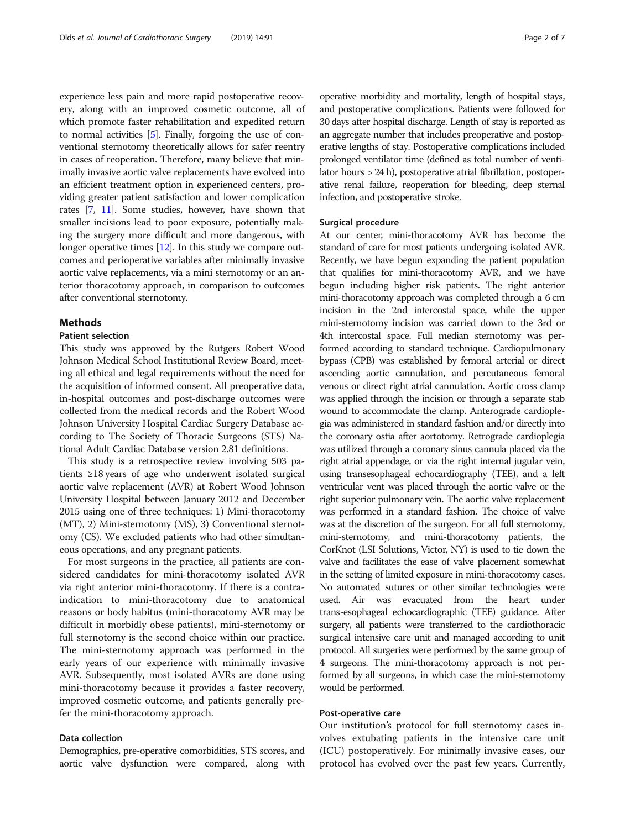experience less pain and more rapid postoperative recovery, along with an improved cosmetic outcome, all of which promote faster rehabilitation and expedited return to normal activities [\[5\]](#page-6-0). Finally, forgoing the use of conventional sternotomy theoretically allows for safer reentry in cases of reoperation. Therefore, many believe that minimally invasive aortic valve replacements have evolved into an efficient treatment option in experienced centers, providing greater patient satisfaction and lower complication rates [\[7,](#page-6-0) [11](#page-6-0)]. Some studies, however, have shown that smaller incisions lead to poor exposure, potentially making the surgery more difficult and more dangerous, with longer operative times [[12](#page-6-0)]. In this study we compare outcomes and perioperative variables after minimally invasive aortic valve replacements, via a mini sternotomy or an anterior thoracotomy approach, in comparison to outcomes after conventional sternotomy.

#### Methods

## Patient selection

This study was approved by the Rutgers Robert Wood Johnson Medical School Institutional Review Board, meeting all ethical and legal requirements without the need for the acquisition of informed consent. All preoperative data, in-hospital outcomes and post-discharge outcomes were collected from the medical records and the Robert Wood Johnson University Hospital Cardiac Surgery Database according to The Society of Thoracic Surgeons (STS) National Adult Cardiac Database version 2.81 definitions.

This study is a retrospective review involving 503 patients ≥18 years of age who underwent isolated surgical aortic valve replacement (AVR) at Robert Wood Johnson University Hospital between January 2012 and December 2015 using one of three techniques: 1) Mini-thoracotomy (MT), 2) Mini-sternotomy (MS), 3) Conventional sternotomy (CS). We excluded patients who had other simultaneous operations, and any pregnant patients.

For most surgeons in the practice, all patients are considered candidates for mini-thoracotomy isolated AVR via right anterior mini-thoracotomy. If there is a contraindication to mini-thoracotomy due to anatomical reasons or body habitus (mini-thoracotomy AVR may be difficult in morbidly obese patients), mini-sternotomy or full sternotomy is the second choice within our practice. The mini-sternotomy approach was performed in the early years of our experience with minimally invasive AVR. Subsequently, most isolated AVRs are done using mini-thoracotomy because it provides a faster recovery, improved cosmetic outcome, and patients generally prefer the mini-thoracotomy approach.

## Data collection

Demographics, pre-operative comorbidities, STS scores, and aortic valve dysfunction were compared, along with

operative morbidity and mortality, length of hospital stays, and postoperative complications. Patients were followed for 30 days after hospital discharge. Length of stay is reported as an aggregate number that includes preoperative and postoperative lengths of stay. Postoperative complications included prolonged ventilator time (defined as total number of ventilator hours > 24 h), postoperative atrial fibrillation, postoperative renal failure, reoperation for bleeding, deep sternal infection, and postoperative stroke.

## Surgical procedure

At our center, mini-thoracotomy AVR has become the standard of care for most patients undergoing isolated AVR. Recently, we have begun expanding the patient population that qualifies for mini-thoracotomy AVR, and we have begun including higher risk patients. The right anterior mini-thoracotomy approach was completed through a 6 cm incision in the 2nd intercostal space, while the upper mini-sternotomy incision was carried down to the 3rd or 4th intercostal space. Full median sternotomy was performed according to standard technique. Cardiopulmonary bypass (CPB) was established by femoral arterial or direct ascending aortic cannulation, and percutaneous femoral venous or direct right atrial cannulation. Aortic cross clamp was applied through the incision or through a separate stab wound to accommodate the clamp. Anterograde cardioplegia was administered in standard fashion and/or directly into the coronary ostia after aortotomy. Retrograde cardioplegia was utilized through a coronary sinus cannula placed via the right atrial appendage, or via the right internal jugular vein, using transesophageal echocardiography (TEE), and a left ventricular vent was placed through the aortic valve or the right superior pulmonary vein. The aortic valve replacement was performed in a standard fashion. The choice of valve was at the discretion of the surgeon. For all full sternotomy, mini-sternotomy, and mini-thoracotomy patients, the CorKnot (LSI Solutions, Victor, NY) is used to tie down the valve and facilitates the ease of valve placement somewhat in the setting of limited exposure in mini-thoracotomy cases. No automated sutures or other similar technologies were used. Air was evacuated from the heart under trans-esophageal echocardiographic (TEE) guidance. After surgery, all patients were transferred to the cardiothoracic surgical intensive care unit and managed according to unit protocol. All surgeries were performed by the same group of 4 surgeons. The mini-thoracotomy approach is not performed by all surgeons, in which case the mini-sternotomy would be performed.

## Post-operative care

Our institution's protocol for full sternotomy cases involves extubating patients in the intensive care unit (ICU) postoperatively. For minimally invasive cases, our protocol has evolved over the past few years. Currently,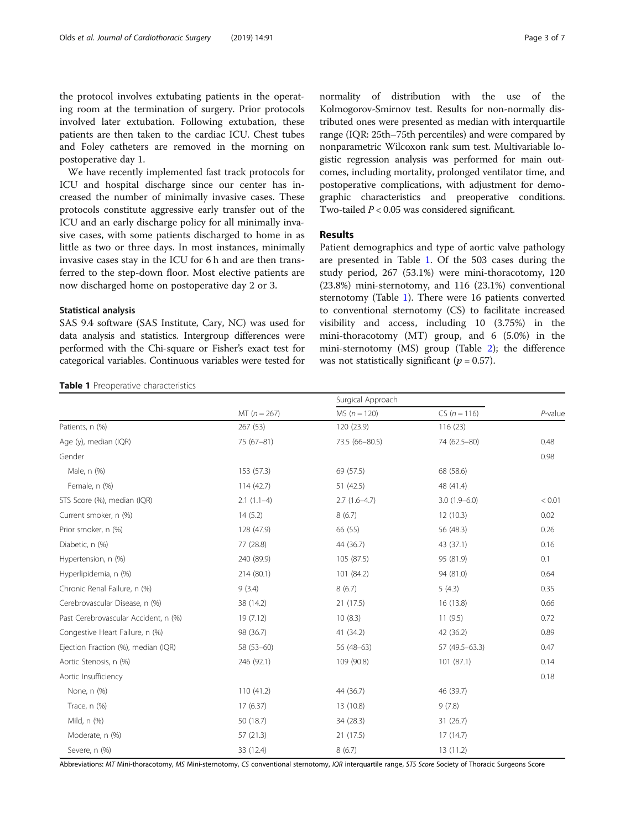the protocol involves extubating patients in the operating room at the termination of surgery. Prior protocols involved later extubation. Following extubation, these patients are then taken to the cardiac ICU. Chest tubes and Foley catheters are removed in the morning on postoperative day 1.

We have recently implemented fast track protocols for ICU and hospital discharge since our center has increased the number of minimally invasive cases. These protocols constitute aggressive early transfer out of the ICU and an early discharge policy for all minimally invasive cases, with some patients discharged to home in as little as two or three days. In most instances, minimally invasive cases stay in the ICU for 6 h and are then transferred to the step-down floor. Most elective patients are now discharged home on postoperative day 2 or 3.

## Statistical analysis

Table 1 Preoperative characteristics

SAS 9.4 software (SAS Institute, Cary, NC) was used for data analysis and statistics. Intergroup differences were performed with the Chi-square or Fisher's exact test for categorical variables. Continuous variables were tested for

normality of distribution with the use of the Kolmogorov-Smirnov test. Results for non-normally distributed ones were presented as median with interquartile range (IQR: 25th–75th percentiles) and were compared by nonparametric Wilcoxon rank sum test. Multivariable logistic regression analysis was performed for main outcomes, including mortality, prolonged ventilator time, and postoperative complications, with adjustment for demographic characteristics and preoperative conditions. Two-tailed  $P < 0.05$  was considered significant.

## Results

Patient demographics and type of aortic valve pathology are presented in Table 1. Of the 503 cases during the study period, 267 (53.1%) were mini-thoracotomy, 120 (23.8%) mini-sternotomy, and 116 (23.1%) conventional sternotomy (Table 1). There were 16 patients converted to conventional sternotomy (CS) to facilitate increased visibility and access, including 10 (3.75%) in the mini-thoracotomy (MT) group, and 6 (5.0%) in the mini-sternotomy (MS) group (Table [2\)](#page-3-0); the difference was not statistically significant ( $p = 0.57$ ).

|                                      | $MT (n = 267)$ | Surgical Approach |                |            |
|--------------------------------------|----------------|-------------------|----------------|------------|
|                                      |                | $MS (n = 120)$    | $CS (n = 116)$ | $P$ -value |
| Patients, n (%)                      | 267(53)        | 120 (23.9)        | 116(23)        |            |
| Age (y), median (IQR)                | 75 (67-81)     | 73.5 (66-80.5)    | 74 (62.5-80)   | 0.48       |
| Gender                               |                |                   |                | 0.98       |
| Male, n (%)                          | 153 (57.3)     | 69 (57.5)         | 68 (58.6)      |            |
| Female, n (%)                        | 114 (42.7)     | 51 (42.5)         | 48 (41.4)      |            |
| STS Score (%), median (IQR)          | $2.1(1.1-4)$   | $2.7(1.6-4.7)$    | $3.0(1.9-6.0)$ | < 0.01     |
| Current smoker, n (%)                | 14(5.2)        | 8(6.7)            | 12(10.3)       | 0.02       |
| Prior smoker, n (%)                  | 128 (47.9)     | 66 (55)           | 56 (48.3)      | 0.26       |
| Diabetic, n (%)                      | 77 (28.8)      | 44 (36.7)         | 43 (37.1)      | 0.16       |
| Hypertension, n (%)                  | 240 (89.9)     | 105 (87.5)        | 95 (81.9)      | 0.1        |
| Hyperlipidemia, n (%)                | 214 (80.1)     | 101 (84.2)        | 94 (81.0)      | 0.64       |
| Chronic Renal Failure, n (%)         | 9(3.4)         | 8(6.7)            | 5(4.3)         | 0.35       |
| Cerebrovascular Disease, n (%)       | 38 (14.2)      | 21(17.5)          | 16(13.8)       | 0.66       |
| Past Cerebrovascular Accident, n (%) | 19 (7.12)      | 10(8.3)           | 11(9.5)        | 0.72       |
| Congestive Heart Failure, n (%)      | 98 (36.7)      | 41 (34.2)         | 42 (36.2)      | 0.89       |
| Ejection Fraction (%), median (IQR)  | $58(53-60)$    | 56 (48-63)        | 57 (49.5-63.3) | 0.47       |
| Aortic Stenosis, n (%)               | 246 (92.1)     | 109 (90.8)        | 101(87.1)      | 0.14       |
| Aortic Insufficiency                 |                |                   |                | 0.18       |
| None, n (%)                          | 110 (41.2)     | 44 (36.7)         | 46 (39.7)      |            |
| Trace, n (%)                         | 17(6.37)       | 13(10.8)          | 9(7.8)         |            |
| Mild, n (%)                          | 50 (18.7)      | 34 (28.3)         | 31(26.7)       |            |
| Moderate, n (%)                      | 57 (21.3)      | 21(17.5)          | 17(14.7)       |            |
| Severe, n (%)                        | 33 (12.4)      | 8(6.7)            | 13 (11.2)      |            |

Abbreviations: MT Mini-thoracotomy, MS Mini-sternotomy, CS conventional sternotomy, IQR interquartile range, STS Score Society of Thoracic Surgeons Score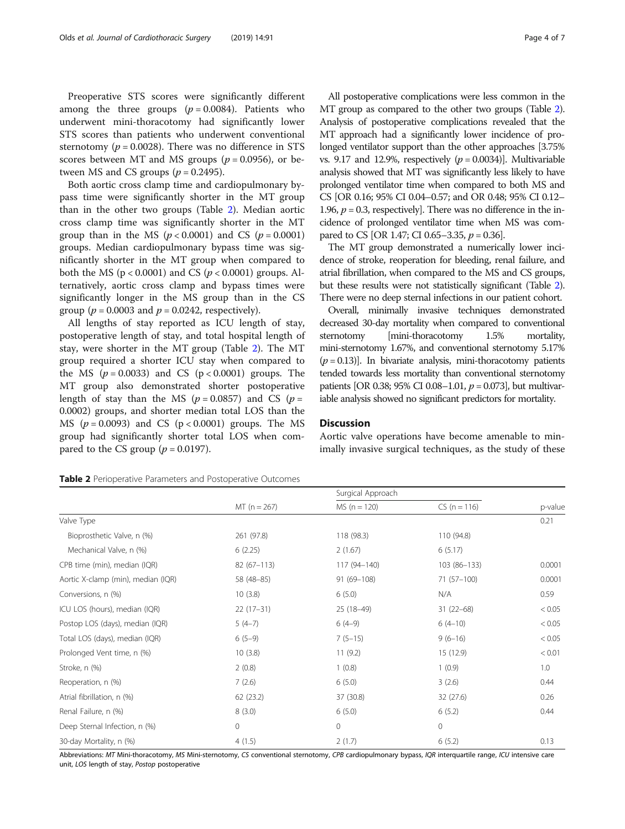<span id="page-3-0"></span>Preoperative STS scores were significantly different among the three groups  $(p = 0.0084)$ . Patients who underwent mini-thoracotomy had significantly lower STS scores than patients who underwent conventional sternotomy ( $p = 0.0028$ ). There was no difference in STS scores between MT and MS groups ( $p = 0.0956$ ), or between MS and CS groups  $(p = 0.2495)$ .

Both aortic cross clamp time and cardiopulmonary bypass time were significantly shorter in the MT group than in the other two groups (Table 2). Median aortic cross clamp time was significantly shorter in the MT group than in the MS  $(p < 0.0001)$  and CS  $(p = 0.0001)$ groups. Median cardiopulmonary bypass time was significantly shorter in the MT group when compared to both the MS ( $p < 0.0001$ ) and CS ( $p < 0.0001$ ) groups. Alternatively, aortic cross clamp and bypass times were significantly longer in the MS group than in the CS group ( $p = 0.0003$  and  $p = 0.0242$ , respectively).

All lengths of stay reported as ICU length of stay, postoperative length of stay, and total hospital length of stay, were shorter in the MT group (Table 2). The MT group required a shorter ICU stay when compared to the MS  $(p = 0.0033)$  and CS  $(p < 0.0001)$  groups. The MT group also demonstrated shorter postoperative length of stay than the MS ( $p = 0.0857$ ) and CS ( $p =$ 0.0002) groups, and shorter median total LOS than the MS ( $p = 0.0093$ ) and CS ( $p < 0.0001$ ) groups. The MS group had significantly shorter total LOS when compared to the CS group ( $p = 0.0197$ ).

All postoperative complications were less common in the MT group as compared to the other two groups (Table 2). Analysis of postoperative complications revealed that the MT approach had a significantly lower incidence of prolonged ventilator support than the other approaches [3.75% vs. 9.17 and 12.9%, respectively  $(p = 0.0034)$ ]. Multivariable analysis showed that MT was significantly less likely to have prolonged ventilator time when compared to both MS and CS [OR 0.16; 95% CI 0.04–0.57; and OR 0.48; 95% CI 0.12– 1.96,  $p = 0.3$ , respectively]. There was no difference in the incidence of prolonged ventilator time when MS was compared to CS [OR 1.47; CI 0.65–3.35,  $p = 0.36$ ].

The MT group demonstrated a numerically lower incidence of stroke, reoperation for bleeding, renal failure, and atrial fibrillation, when compared to the MS and CS groups, but these results were not statistically significant (Table 2). There were no deep sternal infections in our patient cohort.

Overall, minimally invasive techniques demonstrated decreased 30-day mortality when compared to conventional sternotomy [mini-thoracotomy 1.5% mortality, mini-sternotomy 1.67%, and conventional sternotomy 5.17%  $(p = 0.13)$ ]. In bivariate analysis, mini-thoracotomy patients tended towards less mortality than conventional sternotomy patients [OR 0.38; 95% CI 0.08–1.01,  $p = 0.073$ ], but multivariable analysis showed no significant predictors for mortality.

## **Discussion**

Aortic valve operations have become amenable to minimally invasive surgical techniques, as the study of these

| Table 2 Perioperative Parameters and Postoperative Outcomes |  |  |  |  |
|-------------------------------------------------------------|--|--|--|--|
|-------------------------------------------------------------|--|--|--|--|

|                                    | $MT (n = 267)$ | Surgical Approach |               |         |
|------------------------------------|----------------|-------------------|---------------|---------|
|                                    |                | $MS(n = 120)$     | $CS(n = 116)$ | p-value |
| Valve Type                         |                |                   |               | 0.21    |
| Bioprosthetic Valve, n (%)         | 261 (97.8)     | 118(98.3)         | 110 (94.8)    |         |
| Mechanical Valve, n (%)            | 6(2.25)        | 2(1.67)           | 6(5.17)       |         |
| CPB time (min), median (IQR)       | $82(67-113)$   | 117 (94-140)      | 103 (86-133)  | 0.0001  |
| Aortic X-clamp (min), median (IQR) | 58 (48-85)     | $91(69 - 108)$    | 71 (57-100)   | 0.0001  |
| Conversions, n (%)                 | 10(3.8)        | 6(5.0)            | N/A           | 0.59    |
| ICU LOS (hours), median (IQR)      | $22(17-31)$    | 25 (18-49)        | $31(22 - 68)$ | < 0.05  |
| Postop LOS (days), median (IQR)    | $5(4-7)$       | $6(4-9)$          | $6(4-10)$     | < 0.05  |
| Total LOS (days), median (IQR)     | $6(5-9)$       | $7(5-15)$         | $9(6-16)$     | < 0.05  |
| Prolonged Vent time, n (%)         | 10(3.8)        | 11(9.2)           | 15 (12.9)     | < 0.01  |
| Stroke, n (%)                      | 2(0.8)         | 1(0.8)            | 1(0.9)        | 1.0     |
| Reoperation, n (%)                 | 7(2.6)         | 6(5.0)            | 3(2.6)        | 0.44    |
| Atrial fibrillation, n (%)         | 62(23.2)       | 37 (30.8)         | 32 (27.6)     | 0.26    |
| Renal Failure, n (%)               | 8(3.0)         | 6(5.0)            | 6(5.2)        | 0.44    |
| Deep Sternal Infection, n (%)      | 0              | $\mathbf{0}$      | 0             |         |
| 30-day Mortality, n (%)            | 4(1.5)         | 2(1.7)            | 6(5.2)        | 0.13    |

Abbreviations: MT Mini-thoracotomy, MS Mini-sternotomy, CS conventional sternotomy, CPB cardiopulmonary bypass, IQR interquartile range, ICU intensive care unit, LOS length of stay, Postop postoperative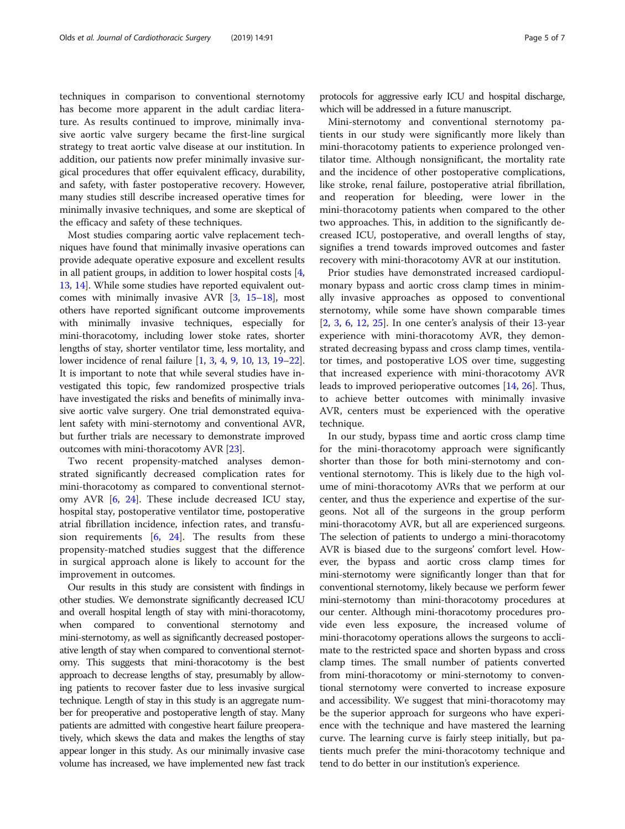techniques in comparison to conventional sternotomy has become more apparent in the adult cardiac literature. As results continued to improve, minimally invasive aortic valve surgery became the first-line surgical strategy to treat aortic valve disease at our institution. In addition, our patients now prefer minimally invasive surgical procedures that offer equivalent efficacy, durability, and safety, with faster postoperative recovery. However, many studies still describe increased operative times for minimally invasive techniques, and some are skeptical of the efficacy and safety of these techniques.

Most studies comparing aortic valve replacement techniques have found that minimally invasive operations can provide adequate operative exposure and excellent results in all patient groups, in addition to lower hospital costs [[4](#page-5-0), [13](#page-6-0), [14](#page-6-0)]. While some studies have reported equivalent outcomes with minimally invasive AVR [[3,](#page-5-0) [15](#page-6-0)–[18\]](#page-6-0), most others have reported significant outcome improvements with minimally invasive techniques, especially for mini-thoracotomy, including lower stoke rates, shorter lengths of stay, shorter ventilator time, less mortality, and lower incidence of renal failure [\[1](#page-5-0), [3](#page-5-0), [4,](#page-5-0) [9,](#page-6-0) [10,](#page-6-0) [13,](#page-6-0) [19](#page-6-0)–[22](#page-6-0)]. It is important to note that while several studies have investigated this topic, few randomized prospective trials have investigated the risks and benefits of minimally invasive aortic valve surgery. One trial demonstrated equivalent safety with mini-sternotomy and conventional AVR, but further trials are necessary to demonstrate improved outcomes with mini-thoracotomy AVR [\[23\]](#page-6-0).

Two recent propensity-matched analyses demonstrated significantly decreased complication rates for mini-thoracotomy as compared to conventional sternotomy AVR [\[6](#page-6-0), [24](#page-6-0)]. These include decreased ICU stay, hospital stay, postoperative ventilator time, postoperative atrial fibrillation incidence, infection rates, and transfusion requirements  $[6, 24]$  $[6, 24]$  $[6, 24]$ . The results from these propensity-matched studies suggest that the difference in surgical approach alone is likely to account for the improvement in outcomes.

Our results in this study are consistent with findings in other studies. We demonstrate significantly decreased ICU and overall hospital length of stay with mini-thoracotomy, when compared to conventional sternotomy and mini-sternotomy, as well as significantly decreased postoperative length of stay when compared to conventional sternotomy. This suggests that mini-thoracotomy is the best approach to decrease lengths of stay, presumably by allowing patients to recover faster due to less invasive surgical technique. Length of stay in this study is an aggregate number for preoperative and postoperative length of stay. Many patients are admitted with congestive heart failure preoperatively, which skews the data and makes the lengths of stay appear longer in this study. As our minimally invasive case volume has increased, we have implemented new fast track

protocols for aggressive early ICU and hospital discharge, which will be addressed in a future manuscript.

Mini-sternotomy and conventional sternotomy patients in our study were significantly more likely than mini-thoracotomy patients to experience prolonged ventilator time. Although nonsignificant, the mortality rate and the incidence of other postoperative complications, like stroke, renal failure, postoperative atrial fibrillation, and reoperation for bleeding, were lower in the mini-thoracotomy patients when compared to the other two approaches. This, in addition to the significantly decreased ICU, postoperative, and overall lengths of stay, signifies a trend towards improved outcomes and faster recovery with mini-thoracotomy AVR at our institution.

Prior studies have demonstrated increased cardiopulmonary bypass and aortic cross clamp times in minimally invasive approaches as opposed to conventional sternotomy, while some have shown comparable times [[2,](#page-5-0) [3](#page-5-0), [6](#page-6-0), [12,](#page-6-0) [25](#page-6-0)]. In one center's analysis of their 13-year experience with mini-thoracotomy AVR, they demonstrated decreasing bypass and cross clamp times, ventilator times, and postoperative LOS over time, suggesting that increased experience with mini-thoracotomy AVR leads to improved perioperative outcomes [[14](#page-6-0), [26](#page-6-0)]. Thus, to achieve better outcomes with minimally invasive AVR, centers must be experienced with the operative technique.

In our study, bypass time and aortic cross clamp time for the mini-thoracotomy approach were significantly shorter than those for both mini-sternotomy and conventional sternotomy. This is likely due to the high volume of mini-thoracotomy AVRs that we perform at our center, and thus the experience and expertise of the surgeons. Not all of the surgeons in the group perform mini-thoracotomy AVR, but all are experienced surgeons. The selection of patients to undergo a mini-thoracotomy AVR is biased due to the surgeons' comfort level. However, the bypass and aortic cross clamp times for mini-sternotomy were significantly longer than that for conventional sternotomy, likely because we perform fewer mini-sternotomy than mini-thoracotomy procedures at our center. Although mini-thoracotomy procedures provide even less exposure, the increased volume of mini-thoracotomy operations allows the surgeons to acclimate to the restricted space and shorten bypass and cross clamp times. The small number of patients converted from mini-thoracotomy or mini-sternotomy to conventional sternotomy were converted to increase exposure and accessibility. We suggest that mini-thoracotomy may be the superior approach for surgeons who have experience with the technique and have mastered the learning curve. The learning curve is fairly steep initially, but patients much prefer the mini-thoracotomy technique and tend to do better in our institution's experience.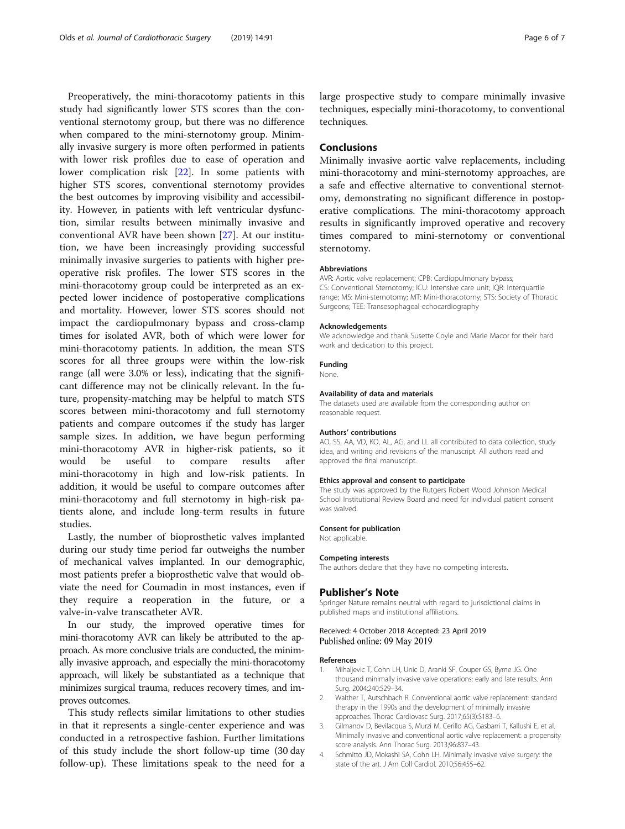<span id="page-5-0"></span>Preoperatively, the mini-thoracotomy patients in this study had significantly lower STS scores than the conventional sternotomy group, but there was no difference when compared to the mini-sternotomy group. Minimally invasive surgery is more often performed in patients with lower risk profiles due to ease of operation and lower complication risk [[22](#page-6-0)]. In some patients with higher STS scores, conventional sternotomy provides the best outcomes by improving visibility and accessibility. However, in patients with left ventricular dysfunction, similar results between minimally invasive and conventional AVR have been shown [[27\]](#page-6-0). At our institution, we have been increasingly providing successful minimally invasive surgeries to patients with higher preoperative risk profiles. The lower STS scores in the mini-thoracotomy group could be interpreted as an expected lower incidence of postoperative complications and mortality. However, lower STS scores should not impact the cardiopulmonary bypass and cross-clamp times for isolated AVR, both of which were lower for mini-thoracotomy patients. In addition, the mean STS scores for all three groups were within the low-risk range (all were 3.0% or less), indicating that the significant difference may not be clinically relevant. In the future, propensity-matching may be helpful to match STS scores between mini-thoracotomy and full sternotomy patients and compare outcomes if the study has larger sample sizes. In addition, we have begun performing mini-thoracotomy AVR in higher-risk patients, so it would be useful to compare results after mini-thoracotomy in high and low-risk patients. In addition, it would be useful to compare outcomes after mini-thoracotomy and full sternotomy in high-risk patients alone, and include long-term results in future studies.

Lastly, the number of bioprosthetic valves implanted during our study time period far outweighs the number of mechanical valves implanted. In our demographic, most patients prefer a bioprosthetic valve that would obviate the need for Coumadin in most instances, even if they require a reoperation in the future, or a valve-in-valve transcatheter AVR.

In our study, the improved operative times for mini-thoracotomy AVR can likely be attributed to the approach. As more conclusive trials are conducted, the minimally invasive approach, and especially the mini-thoracotomy approach, will likely be substantiated as a technique that minimizes surgical trauma, reduces recovery times, and improves outcomes.

This study reflects similar limitations to other studies in that it represents a single-center experience and was conducted in a retrospective fashion. Further limitations of this study include the short follow-up time (30 day follow-up). These limitations speak to the need for a large prospective study to compare minimally invasive techniques, especially mini-thoracotomy, to conventional techniques.

## **Conclusions**

Minimally invasive aortic valve replacements, including mini-thoracotomy and mini-sternotomy approaches, are a safe and effective alternative to conventional sternotomy, demonstrating no significant difference in postoperative complications. The mini-thoracotomy approach results in significantly improved operative and recovery times compared to mini-sternotomy or conventional sternotomy.

## Abbreviations

AVR: Aortic valve replacement; CPB: Cardiopulmonary bypass; CS: Conventional Sternotomy; ICU: Intensive care unit; IQR: Interquartile range; MS: Mini-sternotomy; MT: Mini-thoracotomy; STS: Society of Thoracic Surgeons; TEE: Transesophageal echocardiography

#### Acknowledgements

We acknowledge and thank Susette Coyle and Marie Macor for their hard work and dedication to this project.

#### Funding

None.

#### Availability of data and materials

The datasets used are available from the corresponding author on reasonable request.

#### Authors' contributions

AO, SS, AA, VD, KO, AL, AG, and LL all contributed to data collection, study idea, and writing and revisions of the manuscript. All authors read and approved the final manuscript.

#### Ethics approval and consent to participate

The study was approved by the Rutgers Robert Wood Johnson Medical School Institutional Review Board and need for individual patient consent was waived.

#### Consent for publication

Not applicable.

#### Competing interests

The authors declare that they have no competing interests.

## Publisher's Note

Springer Nature remains neutral with regard to jurisdictional claims in published maps and institutional affiliations.

## Received: 4 October 2018 Accepted: 23 April 2019 Published online: 09 May 2019

#### References

- 1. Mihaljevic T, Cohn LH, Unic D, Aranki SF, Couper GS, Byrne JG. One thousand minimally invasive valve operations: early and late results. Ann Surg. 2004;240:529–34.
- 2. Walther T, Autschbach R. Conventional aortic valve replacement: standard therapy in the 1990s and the development of minimally invasive approaches. Thorac Cardiovasc Surg. 2017;65(3):S183–6.
- 3. Gilmanov D, Bevilacqua S, Murzi M, Cerillo AG, Gasbarri T, Kallushi E, et al. Minimally invasive and conventional aortic valve replacement: a propensity score analysis. Ann Thorac Surg. 2013;96:837–43.
- 4. Schmitto JD, Mokashi SA, Cohn LH. Minimally invasive valve surgery: the state of the art. J Am Coll Cardiol. 2010;56:455–62.